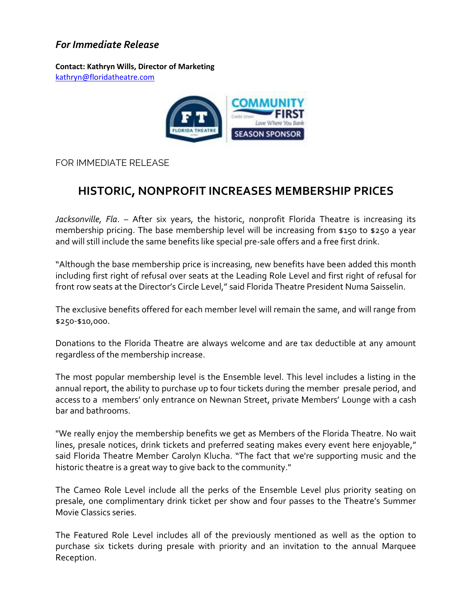## *For Immediate Release*

**Contact: Kathryn Wills, Director of Marketing**  [kathryn@floridatheatre.com](mailto:kathryn@floridatheatre.com)



FOR IMMEDIATE RELEASE

## **HISTORIC, NONPROFIT INCREASES MEMBERSHIP PRICES**

*Jacksonville, Fla*. – After six years, the historic, nonprofit Florida Theatre is increasing its membership pricing. The base membership level will be increasing from \$150 to \$250 a year and will still include the same benefits like special pre-sale offers and a free first drink.

"Although the base membership price is increasing, new benefits have been added this month including first right of refusal over seats at the Leading Role Level and first right of refusal for front row seats at the Director's Circle Level," said Florida Theatre President Numa Saisselin.

The exclusive benefits offered for each member level will remain the same, and will range from \$250-\$10,000.

Donations to the Florida Theatre are always welcome and are tax deductible at any amount regardless of the membership increase.

The most popular membership level is the Ensemble level. This level includes a listing in the annual report, the ability to purchase up to four tickets during the member presale period, and access to a members' only entrance on Newnan Street, private Members' Lounge with a cash bar and bathrooms.

"We really enjoy the membership benefits we get as Members of the Florida Theatre. No wait lines, presale notices, drink tickets and preferred seating makes every event here enjoyable," said Florida Theatre Member Carolyn Klucha. "The fact that we're supporting music and the historic theatre is a great way to give back to the community."

The Cameo Role Level include all the perks of the Ensemble Level plus priority seating on presale, one complimentary drink ticket per show and four passes to the Theatre's Summer Movie Classics series.

The Featured Role Level includes all of the previously mentioned as well as the option to purchase six tickets during presale with priority and an invitation to the annual Marquee Reception.